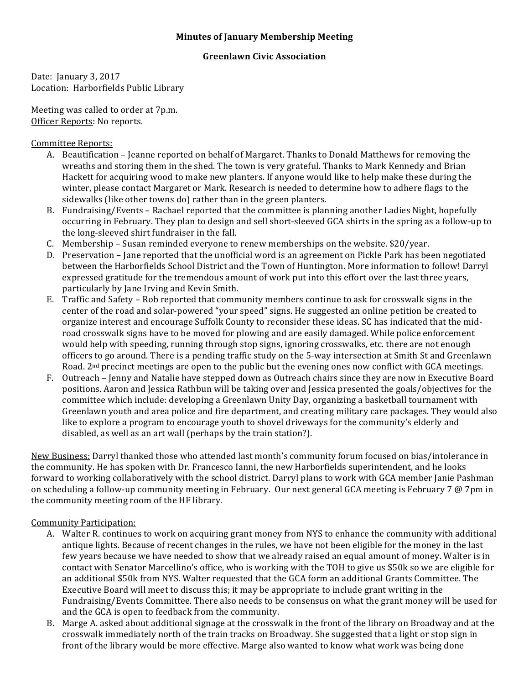## **Minutes of January Membership Meeting**

## **Greenlawn Civic Association**

Date: January 3, 2017 Location: Harborfields Public Library

Meeting was called to order at 7p.m. Officer Reports: No reports.

Committee Reports: 

- A. Beautification Jeanne reported on behalf of Margaret. Thanks to Donald Matthews for removing the wreaths and storing them in the shed. The town is very grateful. Thanks to Mark Kennedy and Brian Hackett for acquiring wood to make new planters. If anyone would like to help make these during the winter, please contact Margaret or Mark. Research is needed to determine how to adhere flags to the sidewalks (like other towns do) rather than in the green planters.
- B. Fundraising/Events Rachael reported that the committee is planning another Ladies Night, hopefully occurring in February. They plan to design and sell short-sleeved GCA shirts in the spring as a follow-up to the long-sleeved shirt fundraiser in the fall.
- C. Membership Susan reminded everyone to renew memberships on the website.  $$20/year$ .
- D. Preservation Jane reported that the unofficial word is an agreement on Pickle Park has been negotiated between the Harborfields School District and the Town of Huntington. More information to follow! Darryl expressed gratitude for the tremendous amount of work put into this effort over the last three years, particularly by Jane Irving and Kevin Smith.
- E. Traffic and Safety Rob reported that community members continue to ask for crosswalk signs in the center of the road and solar-powered "your speed" signs. He suggested an online petition be created to organize interest and encourage Suffolk County to reconsider these ideas. SC has indicated that the midroad crosswalk signs have to be moved for plowing and are easily damaged. While police enforcement would help with speeding, running through stop signs, ignoring crosswalks, etc. there are not enough officers to go around. There is a pending traffic study on the 5-way intersection at Smith St and Greenlawn Road. 2<sup>nd</sup> precinct meetings are open to the public but the evening ones now conflict with GCA meetings.
- F. Outreach Jenny and Natalie have stepped down as Outreach chairs since they are now in Executive Board positions. Aaron and Jessica Rathbun will be taking over and Jessica presented the goals/objectives for the committee which include: developing a Greenlawn Unity Day, organizing a basketball tournament with Greenlawn youth and area police and fire department, and creating military care packages. They would also like to explore a program to encourage youth to shovel driveways for the community's elderly and disabled, as well as an art wall (perhaps by the train station?).

New Business: Darryl thanked those who attended last month's community forum focused on bias/intolerance in the community. He has spoken with Dr. Francesco Ianni, the new Harborfields superintendent, and he looks forward to working collaboratively with the school district. Darryl plans to work with GCA member Janie Pashman on scheduling a follow-up community meeting in February. Our next general GCA meeting is February 7  $\omega$  7pm in the community meeting room of the HF library.

## Community Participation:

- A. Walter R. continues to work on acquiring grant money from NYS to enhance the community with additional antique lights. Because of recent changes in the rules, we have not been eligible for the money in the last few years because we have needed to show that we already raised an equal amount of money. Walter is in contact with Senator Marcellino's office, who is working with the TOH to give us \$50k so we are eligible for an additional \$50k from NYS. Walter requested that the GCA form an additional Grants Committee. The Executive Board will meet to discuss this; it may be appropriate to include grant writing in the Fundraising/Events Committee. There also needs to be consensus on what the grant money will be used for and the GCA is open to feedback from the community.
- B. Marge A. asked about additional signage at the crosswalk in the front of the library on Broadway and at the crosswalk immediately north of the train tracks on Broadway. She suggested that a light or stop sign in front of the library would be more effective. Marge also wanted to know what work was being done